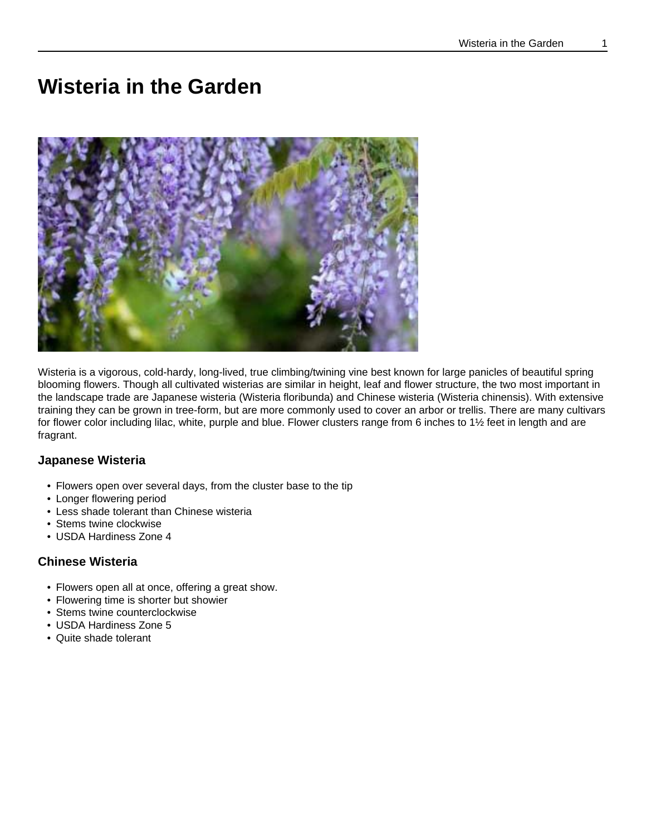# **Wisteria in the Garden**



Wisteria is a vigorous, cold-hardy, long-lived, true climbing/twining vine best known for large panicles of beautiful spring blooming flowers. Though all cultivated wisterias are similar in height, leaf and flower structure, the two most important in the landscape trade are Japanese wisteria (Wisteria floribunda) and Chinese wisteria (Wisteria chinensis). With extensive training they can be grown in tree-form, but are more commonly used to cover an arbor or trellis. There are many cultivars for flower color including lilac, white, purple and blue. Flower clusters range from 6 inches to 1½ feet in length and are fragrant.

#### **Japanese Wisteria**

- Flowers open over several days, from the cluster base to the tip
- Longer flowering period
- Less shade tolerant than Chinese wisteria
- Stems twine clockwise
- USDA Hardiness Zone 4

#### **Chinese Wisteria**

- Flowers open all at once, offering a great show.
- Flowering time is shorter but showier
- Stems twine counterclockwise
- USDA Hardiness Zone 5
- Quite shade tolerant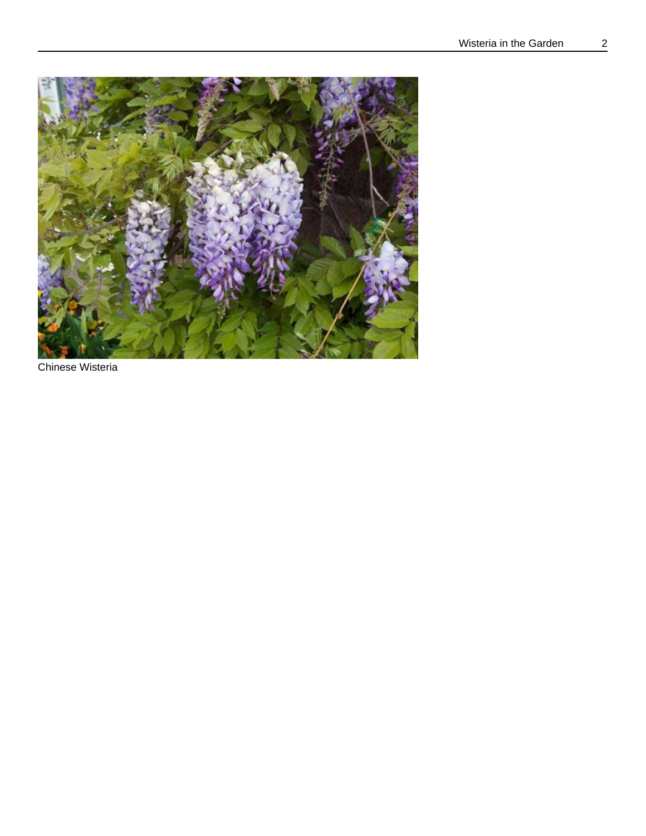

Chinese Wisteria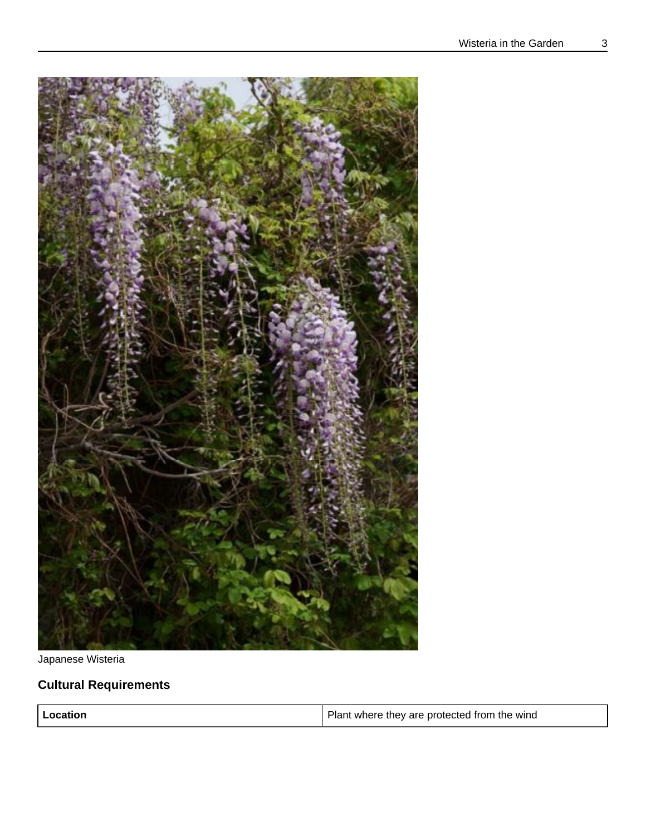

Japanese Wisteria

### **Cultural Requirements**

| Location | Plant where they are protected from the wind |
|----------|----------------------------------------------|
|----------|----------------------------------------------|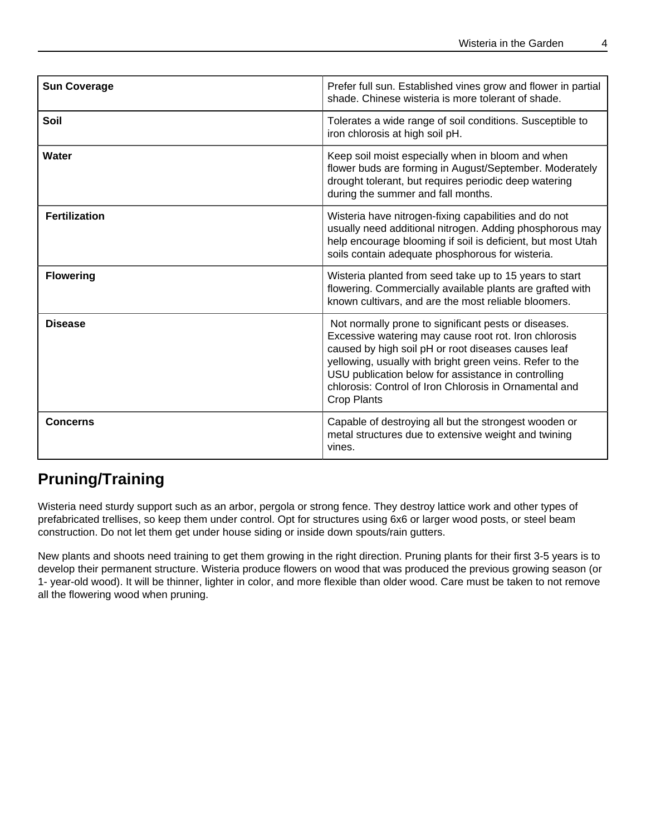| <b>Sun Coverage</b>  | Prefer full sun. Established vines grow and flower in partial<br>shade. Chinese wisteria is more tolerant of shade.                                                                                                                                                                                                                                                     |
|----------------------|-------------------------------------------------------------------------------------------------------------------------------------------------------------------------------------------------------------------------------------------------------------------------------------------------------------------------------------------------------------------------|
| Soil                 | Tolerates a wide range of soil conditions. Susceptible to<br>iron chlorosis at high soil pH.                                                                                                                                                                                                                                                                            |
| Water                | Keep soil moist especially when in bloom and when<br>flower buds are forming in August/September. Moderately<br>drought tolerant, but requires periodic deep watering<br>during the summer and fall months.                                                                                                                                                             |
| <b>Fertilization</b> | Wisteria have nitrogen-fixing capabilities and do not<br>usually need additional nitrogen. Adding phosphorous may<br>help encourage blooming if soil is deficient, but most Utah<br>soils contain adequate phosphorous for wisteria.                                                                                                                                    |
| <b>Flowering</b>     | Wisteria planted from seed take up to 15 years to start<br>flowering. Commercially available plants are grafted with<br>known cultivars, and are the most reliable bloomers.                                                                                                                                                                                            |
| <b>Disease</b>       | Not normally prone to significant pests or diseases.<br>Excessive watering may cause root rot. Iron chlorosis<br>caused by high soil pH or root diseases causes leaf<br>yellowing, usually with bright green veins. Refer to the<br>USU publication below for assistance in controlling<br>chlorosis: Control of Iron Chlorosis in Ornamental and<br><b>Crop Plants</b> |
| <b>Concerns</b>      | Capable of destroying all but the strongest wooden or<br>metal structures due to extensive weight and twining<br>vines.                                                                                                                                                                                                                                                 |

### **Pruning/Training**

Wisteria need sturdy support such as an arbor, pergola or strong fence. They destroy lattice work and other types of prefabricated trellises, so keep them under control. Opt for structures using 6x6 or larger wood posts, or steel beam construction. Do not let them get under house siding or inside down spouts/rain gutters.

New plants and shoots need training to get them growing in the right direction. Pruning plants for their first 3-5 years is to develop their permanent structure. Wisteria produce flowers on wood that was produced the previous growing season (or 1- year-old wood). It will be thinner, lighter in color, and more flexible than older wood. Care must be taken to not remove all the flowering wood when pruning.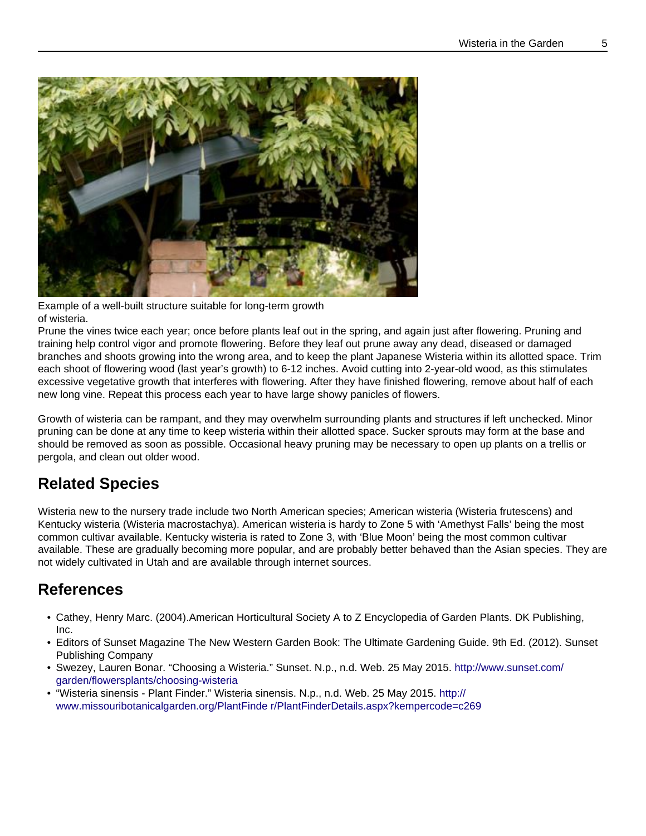

Example of a well-built structure suitable for long-term growth of wisteria.

Prune the vines twice each year; once before plants leaf out in the spring, and again just after flowering. Pruning and training help control vigor and promote flowering. Before they leaf out prune away any dead, diseased or damaged branches and shoots growing into the wrong area, and to keep the plant Japanese Wisteria within its allotted space. Trim each shoot of flowering wood (last year's growth) to 6-12 inches. Avoid cutting into 2-year-old wood, as this stimulates excessive vegetative growth that interferes with flowering. After they have finished flowering, remove about half of each new long vine. Repeat this process each year to have large showy panicles of flowers.

Growth of wisteria can be rampant, and they may overwhelm surrounding plants and structures if left unchecked. Minor pruning can be done at any time to keep wisteria within their allotted space. Sucker sprouts may form at the base and should be removed as soon as possible. Occasional heavy pruning may be necessary to open up plants on a trellis or pergola, and clean out older wood.

## **Related Species**

Wisteria new to the nursery trade include two North American species; American wisteria (Wisteria frutescens) and Kentucky wisteria (Wisteria macrostachya). American wisteria is hardy to Zone 5 with 'Amethyst Falls' being the most common cultivar available. Kentucky wisteria is rated to Zone 3, with 'Blue Moon' being the most common cultivar available. These are gradually becoming more popular, and are probably better behaved than the Asian species. They are not widely cultivated in Utah and are available through internet sources.

### **References**

- Cathey, Henry Marc. (2004).American Horticultural Society A to Z Encyclopedia of Garden Plants. DK Publishing, Inc.
- Editors of Sunset Magazine The New Western Garden Book: The Ultimate Gardening Guide. 9th Ed. (2012). Sunset Publishing Company
- Swezey, Lauren Bonar. "Choosing a Wisteria." Sunset. N.p., n.d. Web. 25 May 2015. [http://www.sunset.com/](http://www.sunset.com/garden/flowersplants/choosing-wisteria) [garden/flowersplants/choosing-wisteria](http://www.sunset.com/garden/flowersplants/choosing-wisteria)
- "Wisteria sinensis Plant Finder." Wisteria sinensis. N.p., n.d. Web. 25 May 2015. [http://](http://www.missouribotanicalgarden.org/PlantFinde%20r/PlantFinderDetails.aspx?kempercode=c269) [www.missouribotanicalgarden.org/PlantFinde r/PlantFinderDetails.aspx?kempercode=c269](http://www.missouribotanicalgarden.org/PlantFinde%20r/PlantFinderDetails.aspx?kempercode=c269)